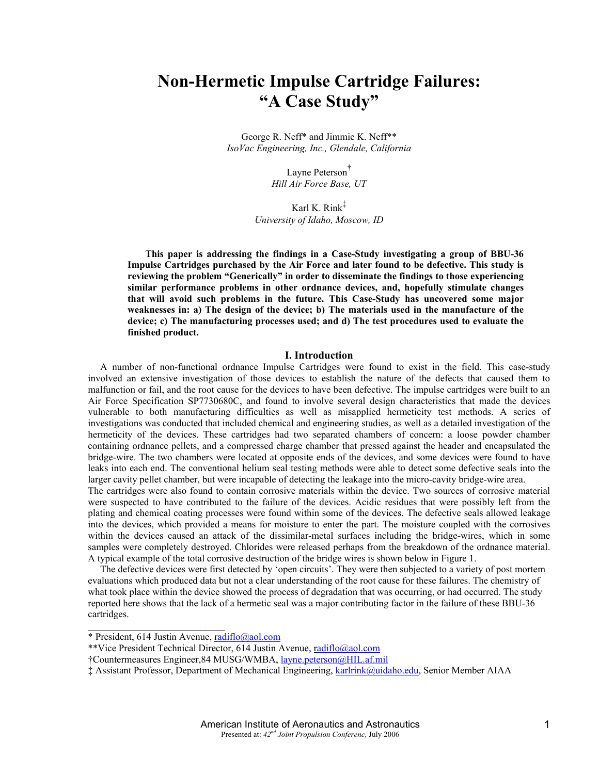# **Non-Hermetic Impulse Cartridge Failures: "A Case Study"**

George R. Neff\* and Jimmie K. Neff\*\* *IsoVac Engineering, Inc., Glendale, California*

> Layne Peterson† *Hill Air Force Base, UT*

Karl K. Rink $^{\ddagger}$ *University of Idaho, Moscow, ID* 

**This paper is addressing the findings in a Case-Study investigating a group of BBU-36 Impulse Cartridges purchased by the Air Force and later found to be defective. This study is reviewing the problem "Generically" in order to disseminate the findings to those experiencing similar performance problems in other ordnance devices, and, hopefully stimulate changes that will avoid such problems in the future. This Case-Study has uncovered some major weaknesses in: a) The design of the device; b) The materials used in the manufacture of the device; c) The manufacturing processes used; and d) The test procedures used to evaluate the finished product.** 

#### **I. Introduction**

A number of non-functional ordnance Impulse Cartridges were found to exist in the field. This case-study involved an extensive investigation of those devices to establish the nature of the defects that caused them to malfunction or fail, and the root cause for the devices to have been defective. The impulse cartridges were built to an Air Force Specification SP7730680C, and found to involve several design characteristics that made the devices vulnerable to both manufacturing difficulties as well as misapplied hermeticity test methods. A series of investigations was conducted that included chemical and engineering studies, as well as a detailed investigation of the hermeticity of the devices. These cartridges had two separated chambers of concern: a loose powder chamber containing ordnance pellets, and a compressed charge chamber that pressed against the header and encapsulated the bridge-wire. The two chambers were located at opposite ends of the devices, and some devices were found to have leaks into each end. The conventional helium seal testing methods were able to detect some defective seals into the larger cavity pellet chamber, but were incapable of detecting the leakage into the micro-cavity bridge-wire area.

The cartridges were also found to contain corrosive materials within the device. Two sources of corrosive material were suspected to have contributed to the failure of the devices. Acidic residues that were possibly left from the plating and chemical coating processes were found within some of the devices. The defective seals allowed leakage into the devices, which provided a means for moisture to enter the part. The moisture coupled with the corrosives within the devices caused an attack of the dissimilar-metal surfaces including the bridge-wires, which in some samples were completely destroyed. Chlorides were released perhaps from the breakdown of the ordnance material. A typical example of the total corrosive destruction of the bridge wires is shown below in Figure 1.

 The defective devices were first detected by 'open circuits'. They were then subjected to a variety of post mortem evaluations which produced data but not a clear understanding of the root cause for these failures. The chemistry of what took place within the device showed the process of degradation that was occurring, or had occurred. The study reported here shows that the lack of a hermetic seal was a major contributing factor in the failure of these BBU-36 cartridges.

 $\overline{\phantom{a}}$  , where  $\overline{\phantom{a}}$  , where  $\overline{\phantom{a}}$  , where  $\overline{\phantom{a}}$ 

<sup>\*</sup> President, 614 Justin Avenue, r[adiflo@aol.com](mailto:Radiflo@aol.com)

<sup>\*\*</sup>Vice President Technical Director, 614 Justin Avenue, [radiflo@aol.com](mailto:Radiflo@aol.com)

<sup>†</sup>Countermeasures Engineer,84 MUSG/WMBA, [layne.peterson@HIL.af.mil](mailto:layne.peterson@HIL.af.mil)

<sup>‡</sup> Assistant Professor, Department of Mechanical Engineering, [karlrink@uidaho.edu,](mailto:karlrink@uidaho.edu) Senior Member AIAA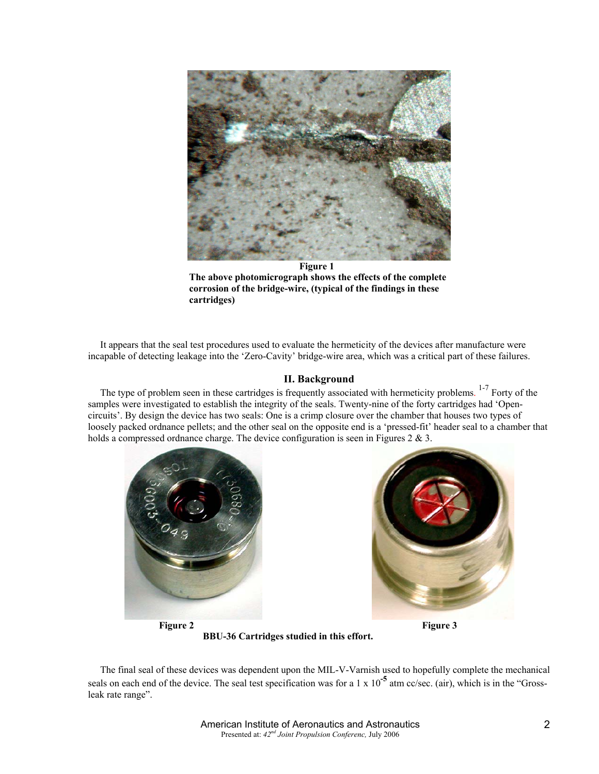

 **Figure 1 The above photomicrograph shows the effects of the complete corrosion of the bridge-wire, (typical of the findings in these cartridges)** 

 It appears that the seal test procedures used to evaluate the hermeticity of the devices after manufacture were incapable of detecting leakage into the 'Zero-Cavity' bridge-wire area, which was a critical part of these failures.

# **II. Background**

The type of problem seen in these cartridges is frequently associated with hermeticity problems. <sup>1-7</sup> Forty of the samples were investigated to establish the integrity of the seals. Twenty-nine of the forty cartridges had 'Opencircuits'. By design the device has two seals: One is a crimp closure over the chamber that houses two types of loosely packed ordnance pellets; and the other seal on the opposite end is a 'pressed-fit' header seal to a chamber that holds a compressed ordnance charge. The device configuration is seen in Figures 2 & 3.





 The final seal of these devices was dependent upon the MIL-V-Varnish used to hopefully complete the mechanical seals on each end of the device. The seal test specification was for a 1 x  $10^{-5}$  atm cc/sec. (air), which is in the "Grossleak rate range".

 **BBU-36 Cartridges studied in this effort.**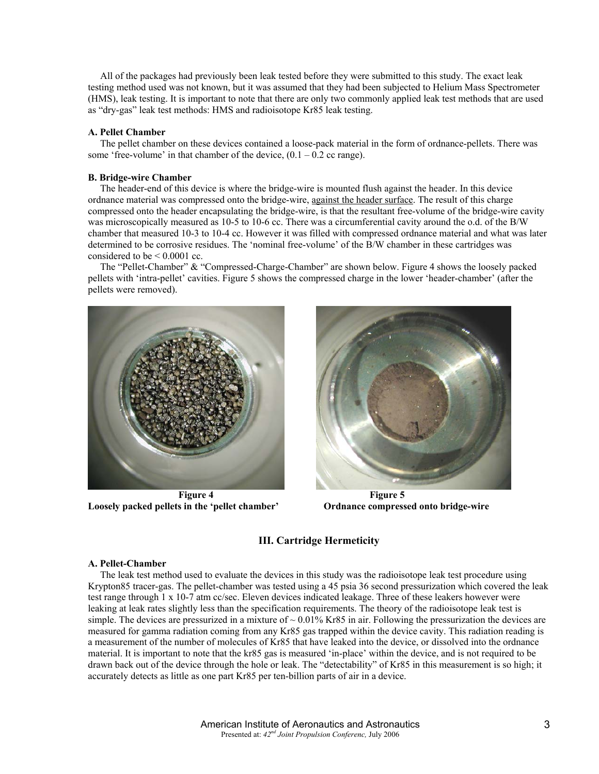All of the packages had previously been leak tested before they were submitted to this study. The exact leak testing method used was not known, but it was assumed that they had been subjected to Helium Mass Spectrometer (HMS), leak testing. It is important to note that there are only two commonly applied leak test methods that are used as "dry-gas" leak test methods: HMS and radioisotope Kr85 leak testing.

#### **A. Pellet Chamber**

 The pellet chamber on these devices contained a loose-pack material in the form of ordnance-pellets. There was some 'free-volume' in that chamber of the device,  $(0.1 - 0.2 \text{ cc range})$ .

#### **B. Bridge-wire Chamber**

 The header-end of this device is where the bridge-wire is mounted flush against the header. In this device ordnance material was compressed onto the bridge-wire, against the header surface. The result of this charge compressed onto the header encapsulating the bridge-wire, is that the resultant free-volume of the bridge-wire cavity was microscopically measured as 10-5 to 10-6 cc. There was a circumferential cavity around the o.d. of the B/W chamber that measured 10-3 to 10-4 cc. However it was filled with compressed ordnance material and what was later determined to be corrosive residues. The 'nominal free-volume' of the B/W chamber in these cartridges was considered to be  $\leq 0.0001$  cc.

 The "Pellet-Chamber" & "Compressed-Charge-Chamber" are shown below. Figure 4 shows the loosely packed pellets with 'intra-pellet' cavities. Figure 5 shows the compressed charge in the lower 'header-chamber' (after the pellets were removed).



**Loosely packed pellets in the 'pellet chamber' Ordnance compressed onto bridge-wire** 



## **III. Cartridge Hermeticity**

#### **A. Pellet-Chamber**

 The leak test method used to evaluate the devices in this study was the radioisotope leak test procedure using Krypton85 tracer-gas. The pellet-chamber was tested using a 45 psia 36 second pressurization which covered the leak test range through 1 x 10-7 atm cc/sec. Eleven devices indicated leakage. Three of these leakers however were leaking at leak rates slightly less than the specification requirements. The theory of the radioisotope leak test is simple. The devices are pressurized in a mixture of  $\sim 0.01\%$  Kr85 in air. Following the pressurization the devices are measured for gamma radiation coming from any Kr85 gas trapped within the device cavity. This radiation reading is a measurement of the number of molecules of Kr85 that have leaked into the device, or dissolved into the ordnance material. It is important to note that the kr85 gas is measured 'in-place' within the device, and is not required to be drawn back out of the device through the hole or leak. The "detectability" of Kr85 in this measurement is so high; it accurately detects as little as one part Kr85 per ten-billion parts of air in a device.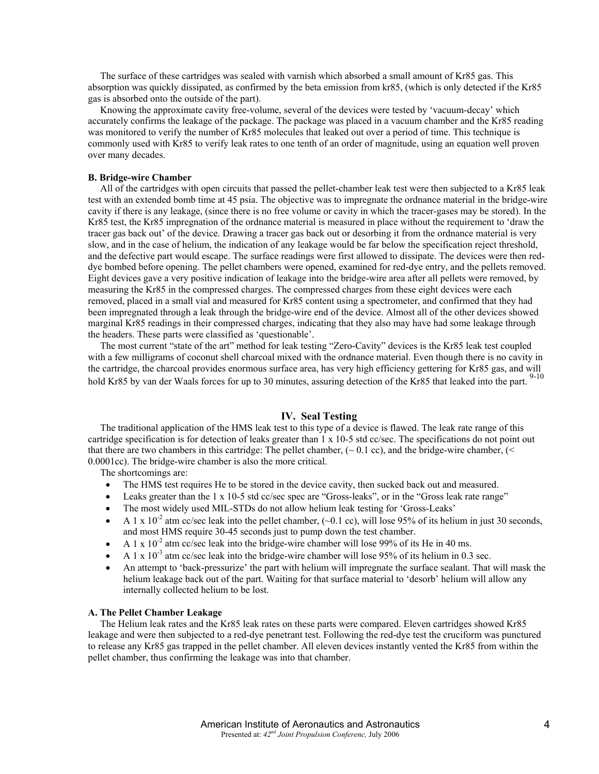The surface of these cartridges was sealed with varnish which absorbed a small amount of Kr85 gas. This absorption was quickly dissipated, as confirmed by the beta emission from kr85, (which is only detected if the Kr85 gas is absorbed onto the outside of the part).

 Knowing the approximate cavity free-volume, several of the devices were tested by 'vacuum-decay' which accurately confirms the leakage of the package. The package was placed in a vacuum chamber and the Kr85 reading was monitored to verify the number of Kr85 molecules that leaked out over a period of time. This technique is commonly used with Kr85 to verify leak rates to one tenth of an order of magnitude, using an equation well proven over many decades.

#### **B. Bridge-wire Chamber**

 All of the cartridges with open circuits that passed the pellet-chamber leak test were then subjected to a Kr85 leak test with an extended bomb time at 45 psia. The objective was to impregnate the ordnance material in the bridge-wire cavity if there is any leakage, (since there is no free volume or cavity in which the tracer-gases may be stored). In the Kr85 test, the Kr85 impregnation of the ordnance material is measured in place without the requirement to 'draw the tracer gas back out' of the device. Drawing a tracer gas back out or desorbing it from the ordnance material is very slow, and in the case of helium, the indication of any leakage would be far below the specification reject threshold, and the defective part would escape. The surface readings were first allowed to dissipate. The devices were then reddye bombed before opening. The pellet chambers were opened, examined for red-dye entry, and the pellets removed. Eight devices gave a very positive indication of leakage into the bridge-wire area after all pellets were removed, by measuring the Kr85 in the compressed charges. The compressed charges from these eight devices were each removed, placed in a small vial and measured for Kr85 content using a spectrometer, and confirmed that they had been impregnated through a leak through the bridge-wire end of the device. Almost all of the other devices showed marginal Kr85 readings in their compressed charges, indicating that they also may have had some leakage through the headers. These parts were classified as 'questionable'.

 The most current "state of the art" method for leak testing "Zero-Cavity" devices is the Kr85 leak test coupled with a few milligrams of coconut shell charcoal mixed with the ordnance material. Even though there is no cavity in the cartridge, the charcoal provides enormous surface area, has very high efficiency gettering for Kr85 gas, and will hold Kr85 by van der Waals forces for up to 30 minutes, assuring detection of the Kr85 that leaked into the part.<sup>9-10</sup>

## **IV. Seal Testing**

 The traditional application of the HMS leak test to this type of a device is flawed. The leak rate range of this cartridge specification is for detection of leaks greater than 1 x 10-5 std cc/sec. The specifications do not point out that there are two chambers in this cartridge: The pellet chamber,  $(\sim 0.1 \text{ cc})$ , and the bridge-wire chamber,  $(\le$ 0.0001cc). The bridge-wire chamber is also the more critical.

The shortcomings are:

- The HMS test requires He to be stored in the device cavity, then sucked back out and measured.
- Leaks greater than the 1 x 10-5 std cc/sec spec are "Gross-leaks", or in the "Gross leak rate range"
- The most widely used MIL-STDs do not allow helium leak testing for 'Gross-Leaks'
- A 1 x  $10^{-2}$  atm cc/sec leak into the pellet chamber, (~0.1 cc), will lose 95% of its helium in just 30 seconds, and most HMS require 30-45 seconds just to pump down the test chamber.
- A 1 x  $10^{-2}$  atm cc/sec leak into the bridge-wire chamber will lose 99% of its He in 40 ms.
- A 1 x  $10^{-3}$  atm cc/sec leak into the bridge-wire chamber will lose 95% of its helium in 0.3 sec.
- An attempt to 'back-pressurize' the part with helium will impregnate the surface sealant. That will mask the helium leakage back out of the part. Waiting for that surface material to 'desorb' helium will allow any internally collected helium to be lost.

#### **A. The Pellet Chamber Leakage**

 The Helium leak rates and the Kr85 leak rates on these parts were compared. Eleven cartridges showed Kr85 leakage and were then subjected to a red-dye penetrant test. Following the red-dye test the cruciform was punctured to release any Kr85 gas trapped in the pellet chamber. All eleven devices instantly vented the Kr85 from within the pellet chamber, thus confirming the leakage was into that chamber.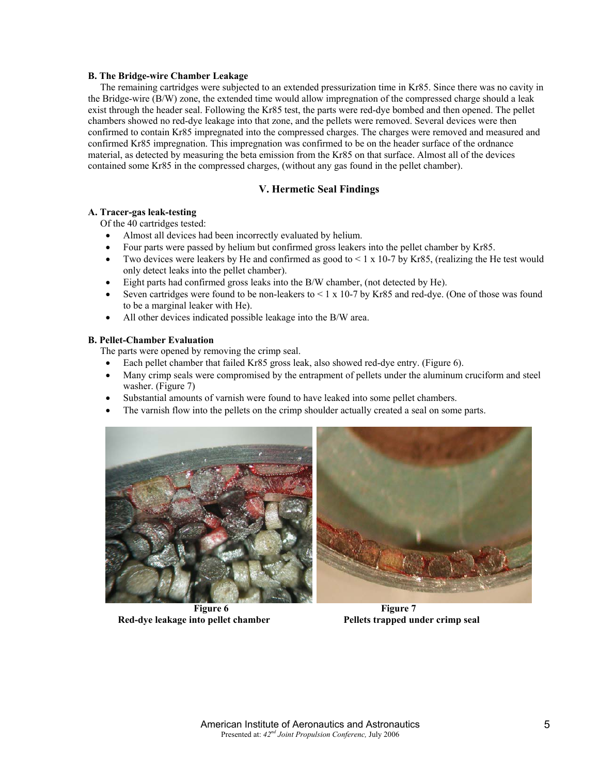#### **B. The Bridge-wire Chamber Leakage**

 The remaining cartridges were subjected to an extended pressurization time in Kr85. Since there was no cavity in the Bridge-wire (B/W) zone, the extended time would allow impregnation of the compressed charge should a leak exist through the header seal. Following the Kr85 test, the parts were red-dye bombed and then opened. The pellet chambers showed no red-dye leakage into that zone, and the pellets were removed. Several devices were then confirmed to contain Kr85 impregnated into the compressed charges. The charges were removed and measured and confirmed Kr85 impregnation. This impregnation was confirmed to be on the header surface of the ordnance material, as detected by measuring the beta emission from the Kr85 on that surface. Almost all of the devices contained some Kr85 in the compressed charges, (without any gas found in the pellet chamber).

## **V. Hermetic Seal Findings**

# **A. Tracer-gas leak-testing**

Of the 40 cartridges tested:

- Almost all devices had been incorrectly evaluated by helium.
- Four parts were passed by helium but confirmed gross leakers into the pellet chamber by Kr85.
- Two devices were leakers by He and confirmed as good to  $\leq 1 \times 10^{-7}$  by Kr85, (realizing the He test would only detect leaks into the pellet chamber).
- Eight parts had confirmed gross leaks into the B/W chamber, (not detected by He).
- Seven cartridges were found to be non-leakers to  $\leq 1 \times 10-7$  by Kr85 and red-dye. (One of those was found to be a marginal leaker with He).
- All other devices indicated possible leakage into the B/W area.

## **B. Pellet-Chamber Evaluation**

The parts were opened by removing the crimp seal.

- Each pellet chamber that failed Kr85 gross leak, also showed red-dye entry. (Figure 6).
- Many crimp seals were compromised by the entrapment of pellets under the aluminum cruciform and steel washer. (Figure 7)
- Substantial amounts of varnish were found to have leaked into some pellet chambers.
- The varnish flow into the pellets on the crimp shoulder actually created a seal on some parts.



 **Red-dye leakage into pellet chamber Pellets trapped under crimp seal**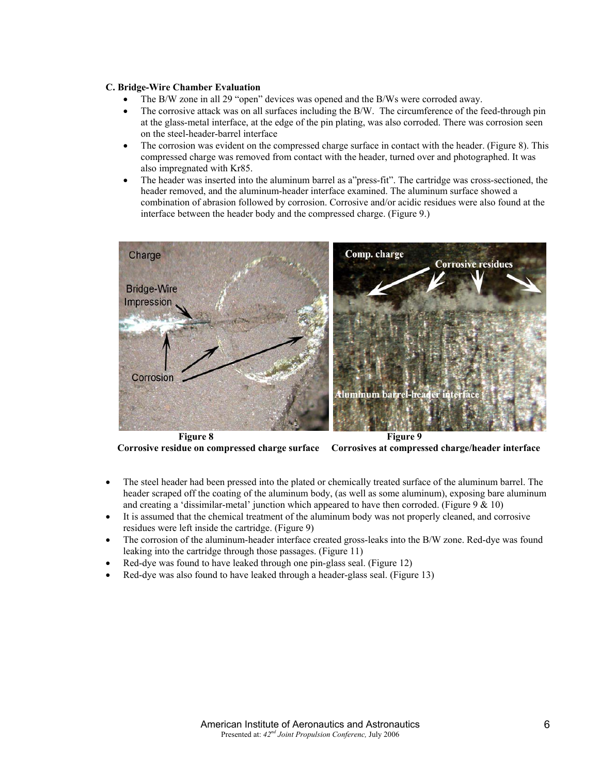## **C. Bridge-Wire Chamber Evaluation**

- The B/W zone in all 29 "open" devices was opened and the B/Ws were corroded away.
- The corrosive attack was on all surfaces including the B/W. The circumference of the feed-through pin at the glass-metal interface, at the edge of the pin plating, was also corroded. There was corrosion seen on the steel-header-barrel interface
- The corrosion was evident on the compressed charge surface in contact with the header. (Figure 8). This compressed charge was removed from contact with the header, turned over and photographed. It was also impregnated with Kr85.
- The header was inserted into the aluminum barrel as a press-fit". The cartridge was cross-sectioned, the header removed, and the aluminum-header interface examined. The aluminum surface showed a combination of abrasion followed by corrosion. Corrosive and/or acidic residues were also found at the interface between the header body and the compressed charge. (Figure 9.)



 **Corrosive residue on compressed charge surface Corrosives at compressed charge/header interface** 

- The steel header had been pressed into the plated or chemically treated surface of the aluminum barrel. The header scraped off the coating of the aluminum body, (as well as some aluminum), exposing bare aluminum and creating a 'dissimilar-metal' junction which appeared to have then corroded. (Figure 9 & 10)
- It is assumed that the chemical treatment of the aluminum body was not properly cleaned, and corrosive residues were left inside the cartridge. (Figure 9)
- The corrosion of the aluminum-header interface created gross-leaks into the B/W zone. Red-dye was found leaking into the cartridge through those passages. (Figure 11)
- Red-dye was found to have leaked through one pin-glass seal. (Figure 12)
- Red-dye was also found to have leaked through a header-glass seal. (Figure 13)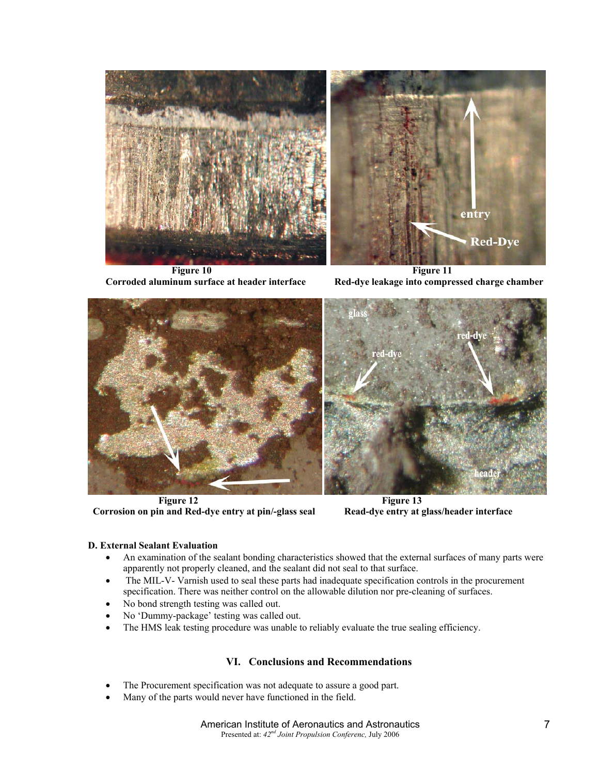

**Corroded aluminum surface at header interface Red-dye leakage into compressed charge chamber**



**Figure** 12 **Figure** 13  **Corrosion on pin and Red-dye entry at pin/-glass seal Read-dye entry at glass/header interface** 

# **D. External Sealant Evaluation**

- An examination of the sealant bonding characteristics showed that the external surfaces of many parts were apparently not properly cleaned, and the sealant did not seal to that surface.
- The MIL-V- Varnish used to seal these parts had inadequate specification controls in the procurement specification. There was neither control on the allowable dilution nor pre-cleaning of surfaces.
- No bond strength testing was called out.
- No 'Dummy-package' testing was called out.
- The HMS leak testing procedure was unable to reliably evaluate the true sealing efficiency.

# **VI. Conclusions and Recommendations**

- The Procurement specification was not adequate to assure a good part.
- Many of the parts would never have functioned in the field.